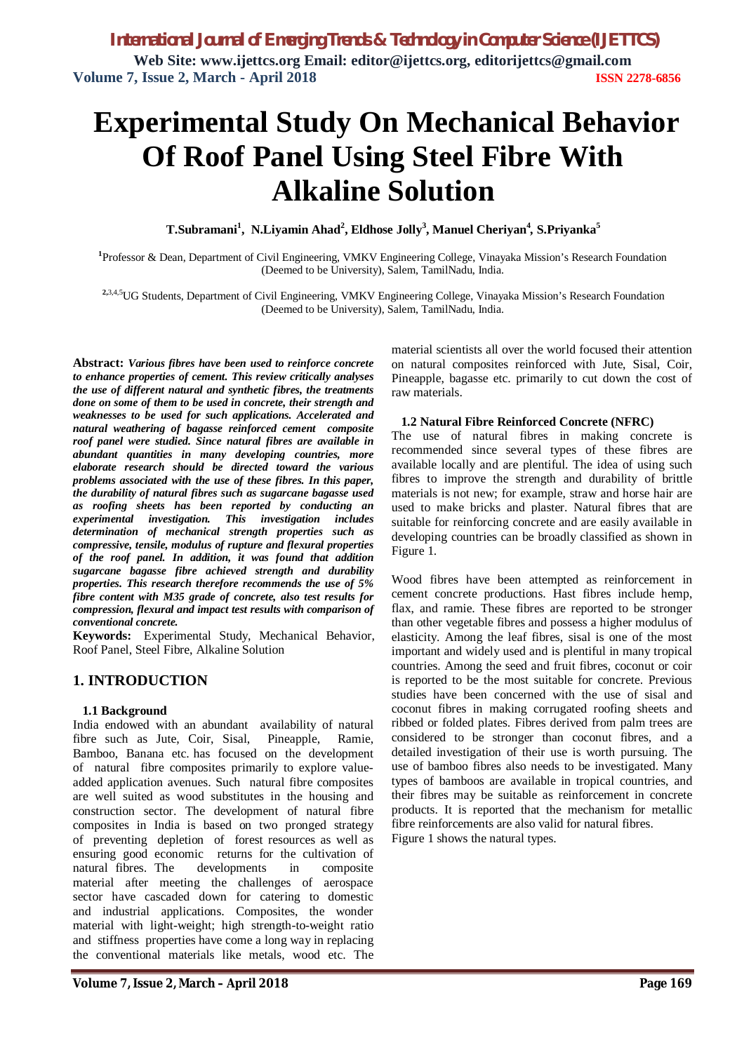# **Experimental Study On Mechanical Behavior Of Roof Panel Using Steel Fibre With Alkaline Solution**

**T.Subramani<sup>1</sup> , N.Liyamin Ahad<sup>2</sup> , Eldhose Jolly<sup>3</sup> , Manuel Cheriyan<sup>4</sup>** *,* **S.Priyanka<sup>5</sup>**

**1** Professor & Dean, Department of Civil Engineering, VMKV Engineering College, Vinayaka Mission's Research Foundation (Deemed to be University), Salem, TamilNadu, India.

**2,**3,4,5UG Students, Department of Civil Engineering, VMKV Engineering College, Vinayaka Mission's Research Foundation (Deemed to be University), Salem, TamilNadu, India.

**Abstract:** *Various fibres have been used to reinforce concrete to enhance properties of cement. This review critically analyses the use of different natural and synthetic fibres, the treatments done on some of them to be used in concrete, their strength and weaknesses to be used for such applications. Accelerated and natural weathering of bagasse reinforced cement composite roof panel were studied. Since natural fibres are available in abundant quantities in many developing countries, more elaborate research should be directed toward the various problems associated with the use of these fibres. In this paper, the durability of natural fibres such as sugarcane bagasse used as roofing sheets has been reported by conducting an experimental investigation. This investigation includes determination of mechanical strength properties such as compressive, tensile, modulus of rupture and flexural properties of the roof panel. In addition, it was found that addition sugarcane bagasse fibre achieved strength and durability properties. This research therefore recommends the use of 5% fibre content with M35 grade of concrete, also test results for compression, flexural and impact test results with comparison of conventional concrete.*

**Keywords:** Experimental Study, Mechanical Behavior, Roof Panel, Steel Fibre, Alkaline Solution

# **1. INTRODUCTION**

# **1.1 Background**

India endowed with an abundant availability of natural fibre such as Jute, Coir, Sisal, Pineapple, Ramie, Bamboo, Banana etc. has focused on the development of natural fibre composites primarily to explore valueadded application avenues. Such natural fibre composites are well suited as wood substitutes in the housing and construction sector. The development of natural fibre composites in India is based on two pronged strategy of preventing depletion of forest resources as well as ensuring good economic returns for the cultivation of natural fibres. The developments in composite material after meeting the challenges of aerospace sector have cascaded down for catering to domestic and industrial applications. Composites, the wonder material with light-weight; high strength-to-weight ratio and stiffness properties have come a long way in replacing the conventional materials like metals, wood etc. The

material scientists all over the world focused their attention on natural composites reinforced with Jute, Sisal, Coir, Pineapple, bagasse etc. primarily to cut down the cost of raw materials.

# **1.2 Natural Fibre Reinforced Concrete (NFRC)**

The use of natural fibres in making concrete is recommended since several types of these fibres are available locally and are plentiful. The idea of using such fibres to improve the strength and durability of brittle materials is not new; for example, straw and horse hair are used to make bricks and plaster. Natural fibres that are suitable for reinforcing concrete and are easily available in developing countries can be broadly classified as shown in Figure 1.

Wood fibres have been attempted as reinforcement in cement concrete productions. Hast fibres include hemp, flax, and ramie. These fibres are reported to be stronger than other vegetable fibres and possess a higher modulus of elasticity. Among the leaf fibres, sisal is one of the most important and widely used and is plentiful in many tropical countries. Among the seed and fruit fibres, coconut or coir is reported to be the most suitable for concrete. Previous studies have been concerned with the use of sisal and coconut fibres in making corrugated roofing sheets and ribbed or folded plates. Fibres derived from palm trees are considered to be stronger than coconut fibres, and a detailed investigation of their use is worth pursuing. The use of bamboo fibres also needs to be investigated. Many types of bamboos are available in tropical countries, and their fibres may be suitable as reinforcement in concrete products. It is reported that the mechanism for metallic fibre reinforcements are also valid for natural fibres. Figure 1 shows the natural types.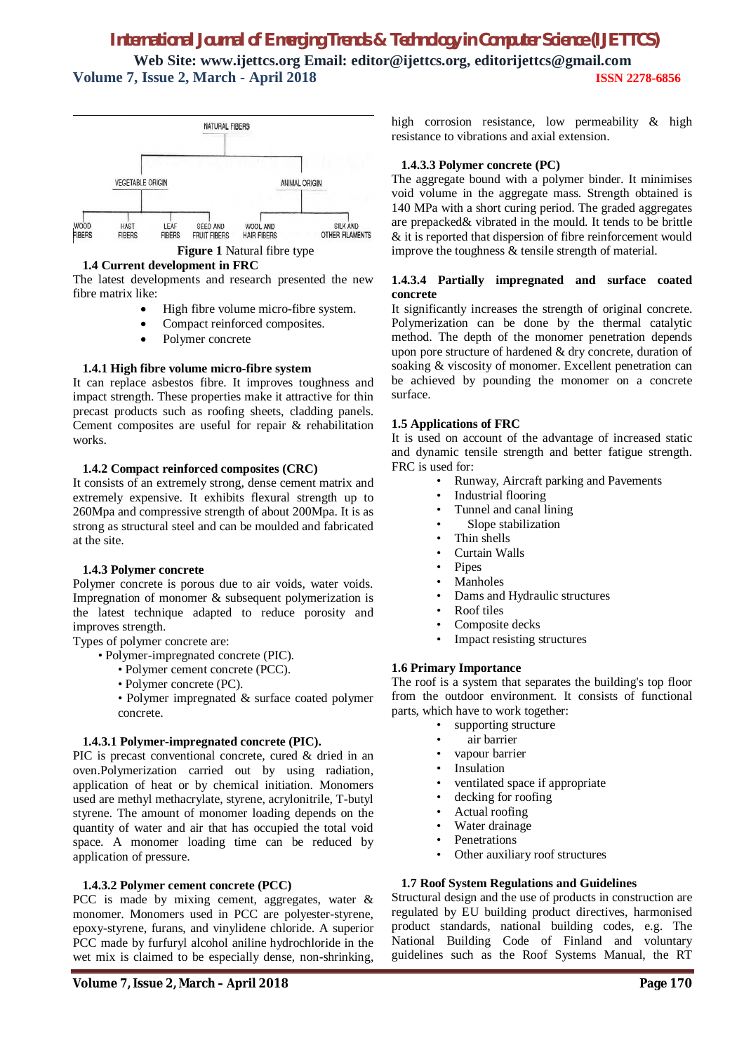# *International Journal of Emerging Trends & Technology in Computer Science (IJETTCS)*

**Web Site: www.ijettcs.org Email: editor@ijettcs.org, editorijettcs@gmail.com Volume 7, Issue 2, March - April 2018 ISSN 2278-6856**



**Figure 1** Natural fibre type

#### **1.4 Current development in FRC**

The latest developments and research presented the new fibre matrix like:

- High fibre volume micro-fibre system.
- Compact reinforced composites.
- Polymer concrete

# **1.4.1 High fibre volume micro-fibre system**

It can replace asbestos fibre. It improves toughness and impact strength. These properties make it attractive for thin precast products such as roofing sheets, cladding panels. Cement composites are useful for repair & rehabilitation works.

# **1.4.2 Compact reinforced composites (CRC)**

It consists of an extremely strong, dense cement matrix and extremely expensive. It exhibits flexural strength up to 260Mpa and compressive strength of about 200Mpa. It is as strong as structural steel and can be moulded and fabricated at the site.

# **1.4.3 Polymer concrete**

Polymer concrete is porous due to air voids, water voids. Impregnation of monomer & subsequent polymerization is the latest technique adapted to reduce porosity and improves strength.

Types of polymer concrete are:

- Polymer-impregnated concrete (PIC).
	- Polymer cement concrete (PCC).
	- Polymer concrete (PC).

• Polymer impregnated & surface coated polymer concrete.

#### **1.4.3.1 Polymer-impregnated concrete (PIC).**

PIC is precast conventional concrete, cured & dried in an oven.Polymerization carried out by using radiation, application of heat or by chemical initiation. Monomers used are methyl methacrylate, styrene, acrylonitrile, T-butyl styrene. The amount of monomer loading depends on the quantity of water and air that has occupied the total void space. A monomer loading time can be reduced by application of pressure.

# **1.4.3.2 Polymer cement concrete (PCC)**

PCC is made by mixing cement, aggregates, water & monomer. Monomers used in PCC are polyester-styrene, epoxy-styrene, furans, and vinylidene chloride. A superior PCC made by furfuryl alcohol aniline hydrochloride in the wet mix is claimed to be especially dense, non-shrinking,

high corrosion resistance, low permeability & high resistance to vibrations and axial extension.

# **1.4.3.3 Polymer concrete (PC)**

The aggregate bound with a polymer binder. It minimises void volume in the aggregate mass. Strength obtained is 140 MPa with a short curing period. The graded aggregates are prepacked& vibrated in the mould. It tends to be brittle & it is reported that dispersion of fibre reinforcement would improve the toughness & tensile strength of material.

# **1.4.3.4 Partially impregnated and surface coated concrete**

It significantly increases the strength of original concrete. Polymerization can be done by the thermal catalytic method. The depth of the monomer penetration depends upon pore structure of hardened & dry concrete, duration of soaking & viscosity of monomer. Excellent penetration can be achieved by pounding the monomer on a concrete surface.

# **1.5 Applications of FRC**

It is used on account of the advantage of increased static and dynamic tensile strength and better fatigue strength. FRC is used for:

- Runway, Aircraft parking and Pavements
- Industrial flooring
	- Tunnel and canal lining
	- Slope stabilization
- Thin shells
- Curtain Walls
- Pipes
- Manholes
- Dams and Hydraulic structures
- Roof tiles
- Composite decks
- Impact resisting structures

# **1.6 Primary Importance**

The roof is a system that separates the building's top floor from the outdoor environment. It consists of functional parts, which have to work together:

- supporting structure
- air barrier
- vapour barrier
- **Insulation**
- ventilated space if appropriate
- decking for roofing
- Actual roofing
- Water drainage
- **Penetrations**
- Other auxiliary roof structures

# **1.7 Roof System Regulations and Guidelines**

Structural design and the use of products in construction are regulated by EU building product directives, harmonised product standards, national building codes, e.g. The National Building Code of Finland and voluntary guidelines such as the Roof Systems Manual, the RT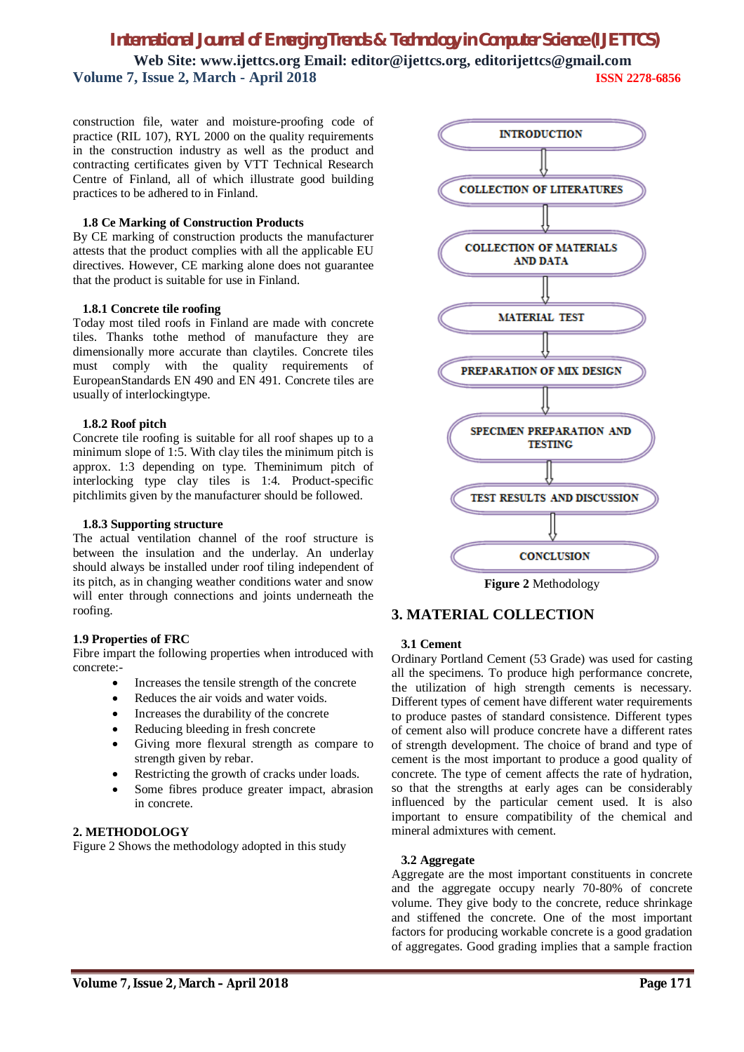# *International Journal of Emerging Trends & Technology in Computer Science (IJETTCS)*

**Web Site: www.ijettcs.org Email: editor@ijettcs.org, editorijettcs@gmail.com Volume 7, Issue 2, March - April 2018 ISSN 2278-6856**

construction file, water and moisture-proofing code of practice (RIL 107), RYL 2000 on the quality requirements in the construction industry as well as the product and contracting certificates given by VTT Technical Research Centre of Finland, all of which illustrate good building practices to be adhered to in Finland.

# **1.8 Ce Marking of Construction Products**

By CE marking of construction products the manufacturer attests that the product complies with all the applicable EU directives. However, CE marking alone does not guarantee that the product is suitable for use in Finland.

# **1.8.1 Concrete tile roofing**

Today most tiled roofs in Finland are made with concrete tiles. Thanks tothe method of manufacture they are dimensionally more accurate than claytiles. Concrete tiles must comply with the quality requirements of EuropeanStandards EN 490 and EN 491. Concrete tiles are usually of interlockingtype.

# **1.8.2 Roof pitch**

Concrete tile roofing is suitable for all roof shapes up to a minimum slope of 1:5. With clay tiles the minimum pitch is approx. 1:3 depending on type. Theminimum pitch of interlocking type clay tiles is 1:4. Product-specific pitchlimits given by the manufacturer should be followed.

#### **1.8.3 Supporting structure**

The actual ventilation channel of the roof structure is between the insulation and the underlay. An underlay should always be installed under roof tiling independent of its pitch, as in changing weather conditions water and snow will enter through connections and joints underneath the roofing.

#### **1.9 Properties of FRC**

Fibre impart the following properties when introduced with concrete:-

- Increases the tensile strength of the concrete
- Reduces the air voids and water voids.
- Increases the durability of the concrete
- Reducing bleeding in fresh concrete
- Giving more flexural strength as compare to strength given by rebar.
- Restricting the growth of cracks under loads.
- Some fibres produce greater impact, abrasion in concrete.

# **2. METHODOLOGY**

Figure 2 Shows the methodology adopted in this study



**Figure 2** Methodology

# **3. MATERIAL COLLECTION**

#### **3.1 Cement**

Ordinary Portland Cement (53 Grade) was used for casting all the specimens. To produce high performance concrete, the utilization of high strength cements is necessary. Different types of cement have different water requirements to produce pastes of standard consistence. Different types of cement also will produce concrete have a different rates of strength development. The choice of brand and type of cement is the most important to produce a good quality of concrete. The type of cement affects the rate of hydration, so that the strengths at early ages can be considerably influenced by the particular cement used. It is also important to ensure compatibility of the chemical and mineral admixtures with cement.

#### **3.2 Aggregate**

Aggregate are the most important constituents in concrete and the aggregate occupy nearly 70-80% of concrete volume. They give body to the concrete, reduce shrinkage and stiffened the concrete. One of the most important factors for producing workable concrete is a good gradation of aggregates. Good grading implies that a sample fraction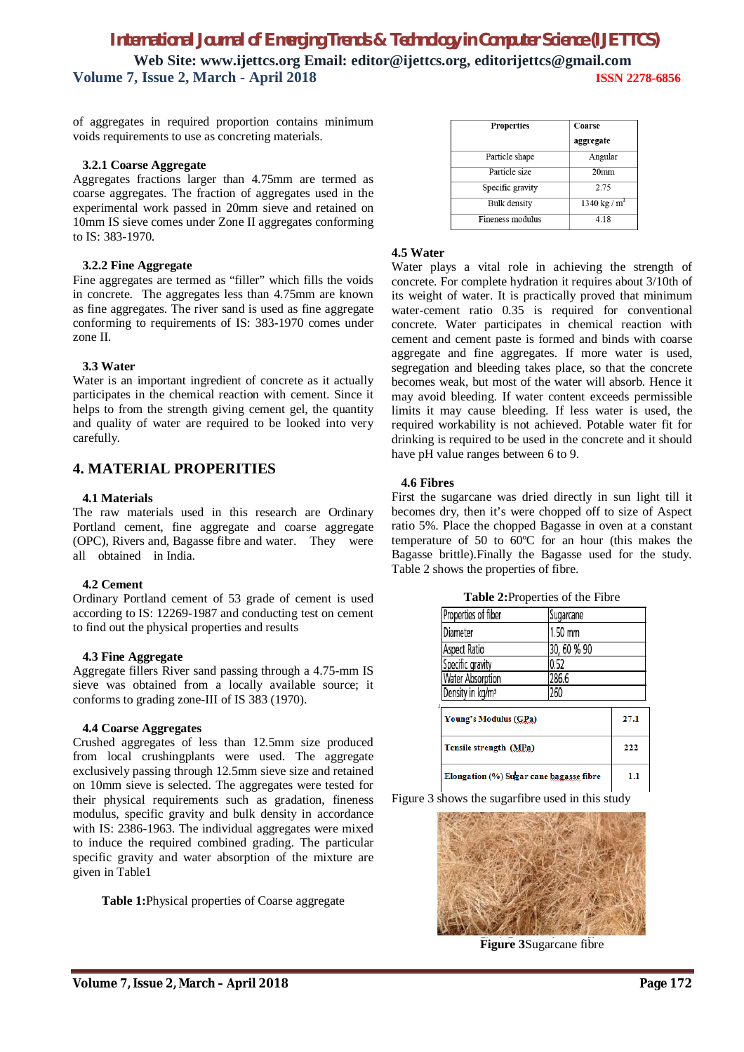of aggregates in required proportion contains minimum voids requirements to use as concreting materials.

# **3.2.1 Coarse Aggregate**

Aggregates fractions larger than 4.75mm are termed as coarse aggregates. The fraction of aggregates used in the experimental work passed in 20mm sieve and retained on 10mm IS sieve comes under Zone II aggregates conforming to IS: 383-1970.

# **3.2.2 Fine Aggregate**

Fine aggregates are termed as "filler" which fills the voids in concrete. The aggregates less than 4.75mm are known as fine aggregates. The river sand is used as fine aggregate conforming to requirements of IS: 383-1970 comes under zone II.

# **3.3 Water**

Water is an important ingredient of concrete as it actually participates in the chemical reaction with cement. Since it helps to from the strength giving cement gel, the quantity and quality of water are required to be looked into very carefully.

# **4. MATERIAL PROPERITIES**

# **4.1 Materials**

The raw materials used in this research are Ordinary Portland cement, fine aggregate and coarse aggregate (OPC), Rivers and, Bagasse fibre and water. They were all obtained in India.

# **4.2 Cement**

Ordinary Portland cement of 53 grade of cement is used according to IS: 12269-1987 and conducting test on cement to find out the physical properties and results

# **4.3 Fine Aggregate**

Aggregate fillers River sand passing through a 4.75-mm IS sieve was obtained from a locally available source; it conforms to grading zone-III of IS 383 (1970).

# **4.4 Coarse Aggregates**

Crushed aggregates of less than 12.5mm size produced from local crushingplants were used. The aggregate exclusively passing through 12.5mm sieve size and retained on 10mm sieve is selected. The aggregates were tested for their physical requirements such as gradation, fineness modulus, specific gravity and bulk density in accordance with IS: 2386-1963. The individual aggregates were mixed to induce the required combined grading. The particular specific gravity and water absorption of the mixture are given in Table1

**Table 1:**Physical properties of Coarse aggregate

| Properties          | Coarse<br>aggregate |
|---------------------|---------------------|
| Particle shape      | Angular             |
| Particle size       | 20 <sub>mm</sub>    |
| Specific gravity    | 2.75                |
| <b>Bulk</b> density | 1340 kg / $m^3$     |
| Fineness modulus    | 4.18                |

# **4.5 Water**

Water plays a vital role in achieving the strength of concrete. For complete hydration it requires about 3/10th of its weight of water. It is practically proved that minimum water-cement ratio 0.35 is required for conventional concrete. Water participates in chemical reaction with cement and cement paste is formed and binds with coarse aggregate and fine aggregates. If more water is used, segregation and bleeding takes place, so that the concrete becomes weak, but most of the water will absorb. Hence it may avoid bleeding. If water content exceeds permissible limits it may cause bleeding. If less water is used, the required workability is not achieved. Potable water fit for drinking is required to be used in the concrete and it should have pH value ranges between 6 to 9.

# **4.6 Fibres**

First the sugarcane was dried directly in sun light till it becomes dry, then it's were chopped off to size of Aspect ratio 5%. Place the chopped Bagasse in oven at a constant temperature of 50 to 60ºC for an hour (this makes the Bagasse brittle).Finally the Bagasse used for the study. Table 2 shows the properties of fibre.

| Properties of fiber                     | Sugarcane   |      |
|-----------------------------------------|-------------|------|
| Diameter                                | 1.50 mm     |      |
| Aspect Ratio                            | 30, 60 % 90 |      |
| Specific gravity                        | 0.52        |      |
| Water Absorption                        | 286.6       |      |
| Density in kg/m <sup>3</sup>            | 260         |      |
| Young's Modulus (GPa)                   |             | 27.1 |
| Tensile strength (MPa)                  |             | 222  |
| Elongation (%) Sugar cane bagasse fibre | 1.1         |      |

**Table 2:**Properties of the Fibre

Figure 3 shows the sugarfibre used in this study



**Figure 3**Sugarcane fibre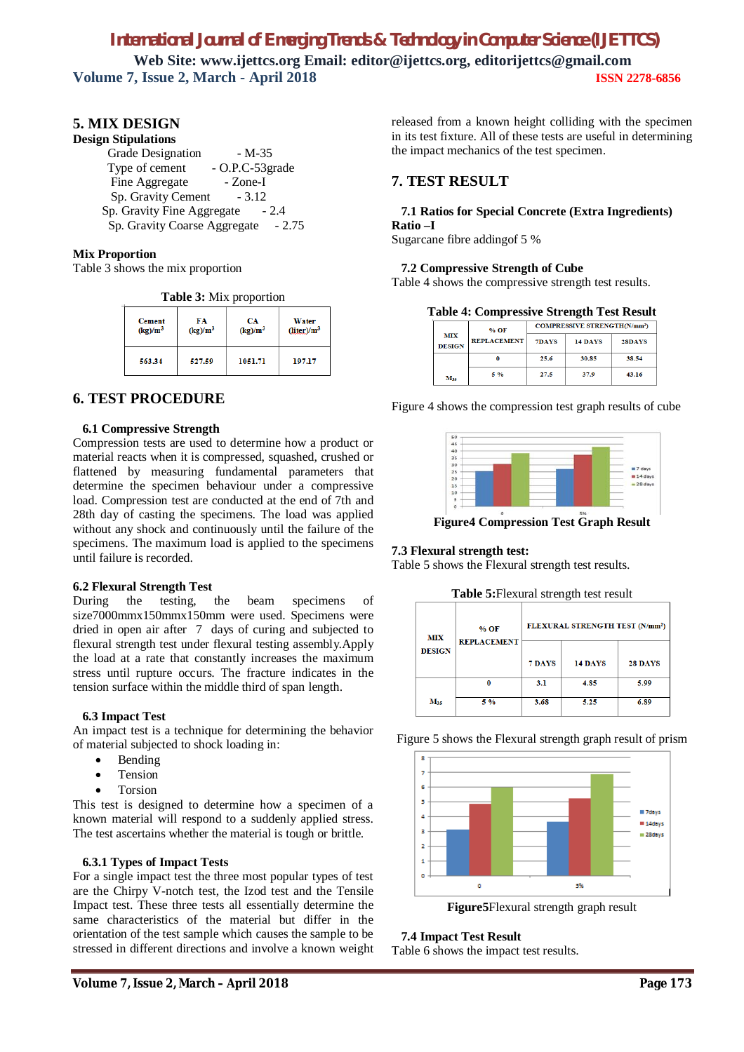# **5. MIX DESIGN**

# **Design Stipulations**

| Grade Designation            | - M-35          |
|------------------------------|-----------------|
| Type of cement               | - O.P.C-53grade |
| Fine Aggregate               | - Zone-I        |
| Sp. Gravity Cement           | $-3.12$         |
| Sp. Gravity Fine Aggregate   | $-2.4$          |
| Sp. Gravity Coarse Aggregate | $-2.75$         |

# **Mix Proportion**

Table 3 shows the mix proportion

**Table 3:** Mix proportion

| <b>Cement</b><br>$(kg)/m^3$ | FA<br>$(kg)/m^3$ | CA<br>$(kg)/m^3$ | Water<br>$(liter)/m^3$ |
|-----------------------------|------------------|------------------|------------------------|
| 563.34                      | 527.59           | 1051.71          | 197.17                 |

# **6. TEST PROCEDURE**

#### **6.1 Compressive Strength**

Compression tests are used to determine how a product or material reacts when it is compressed, squashed, crushed or flattened by measuring fundamental parameters that determine the specimen behaviour under a compressive load. Compression test are conducted at the end of 7th and 28th day of casting the specimens. The load was applied without any shock and continuously until the failure of the specimens. The maximum load is applied to the specimens until failure is recorded.

# **6.2 Flexural Strength Test**

During the testing, the beam specimens of size7000mmx150mmx150mm were used. Specimens were dried in open air after 7 days of curing and subjected to flexural strength test under flexural testing assembly.Apply the load at a rate that constantly increases the maximum stress until rupture occurs. The fracture indicates in the tension surface within the middle third of span length.

#### **6.3 Impact Test**

An impact test is a technique for determining the behavior of material subjected to shock loading in:

- Bending
- Tension
- Torsion

This test is designed to determine how a specimen of a known material will respond to a suddenly applied stress. The test ascertains whether the material is tough or brittle.

# **6.3.1 Types of Impact Tests**

For a single impact test the three most popular types of test are the Chirpy V-notch test, the Izod test and the Tensile Impact test. These three tests all essentially determine the same characteristics of the material but differ in the orientation of the test sample which causes the sample to be stressed in different directions and involve a known weight released from a known height colliding with the specimen in its test fixture. All of these tests are useful in determining the impact mechanics of the test specimen.

# **7. TEST RESULT**

# **7.1 Ratios for Special Concrete (Extra Ingredients) Ratio –I**

Sugarcane fibre addingof 5 %

#### **7.2 Compressive Strength of Cube**

Table 4 shows the compressive strength test results.

**Table 4: Compressive Strength Test Result**

|                             | $%$ OF             | <b>COMPRESSIVE STRENGTH(N/mm<sup>2</sup>)</b> |                |        |
|-----------------------------|--------------------|-----------------------------------------------|----------------|--------|
| <b>MIX</b><br><b>DESIGN</b> | <b>REPLACEMENT</b> | 7DAYS                                         | <b>14 DAYS</b> | 28DAYS |
|                             |                    | 25.6                                          | 30.85          | 38.54  |
| Mas                         | 5%                 | 27.5                                          | 37.9           | 43.16  |

Figure 4 shows the compression test graph results of cube



**Figure4 Compression Test Graph Result**

#### **7.3 Flexural strength test:**

Table 5 shows the Flexural strength test results.

| <b>MIX</b><br><b>DESIGN</b> | % OF<br><b>REPLACEMENT</b> | FLEXURAL STRENGTH TEST (N/mm <sup>2</sup> ) |         |         |  |
|-----------------------------|----------------------------|---------------------------------------------|---------|---------|--|
|                             |                            | 7 DAYS                                      | 14 DAYS | 28 DAYS |  |
|                             | O                          | 3.1                                         | 4.85    | 5.99    |  |
| $M_{35}$                    | 5 %                        | 3.68                                        | 5.25    | 6.89    |  |

Figure 5 shows the Flexural strength graph result of prism



**Figure5**Flexural strength graph result

 **7.4 Impact Test Result**

Table 6 shows the impact test results.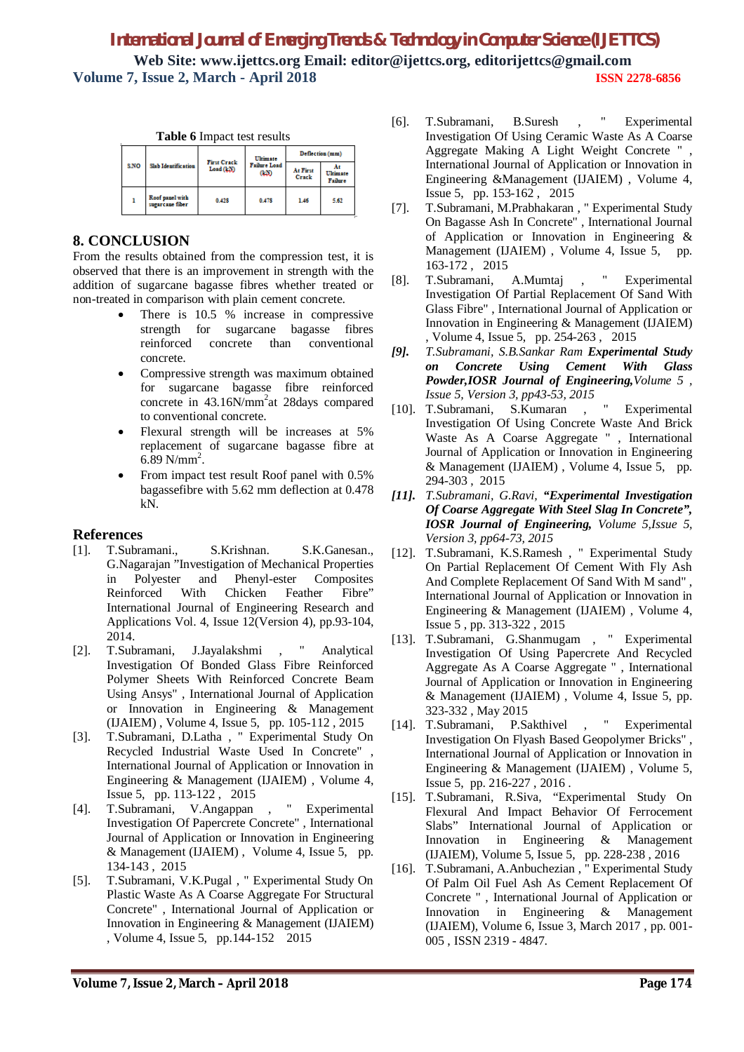| Table 6 Impact test results |                                    |                                |                                   |                   |                     |
|-----------------------------|------------------------------------|--------------------------------|-----------------------------------|-------------------|---------------------|
| <b>S.NO</b>                 | Slab Identification                | <b>First Crack</b><br>Load(kN) | Ultimate<br>Failure Load<br>(1,3) | Deflection (mm)   |                     |
|                             |                                    |                                |                                   | At First<br>Crack | Ultimate<br>Failure |
|                             | Roof panel with<br>sucarcane fiber | 0.428                          | 0.478                             | 1.46              | 5.62                |

# **8. CONCLUSION**

From the results obtained from the compression test, it is observed that there is an improvement in strength with the addition of sugarcane bagasse fibres whether treated or non-treated in comparison with plain cement concrete.

- There is 10.5 % increase in compressive strength for sugarcane bagasse fibres reinforced concrete than conventional concrete.
- Compressive strength was maximum obtained for sugarcane bagasse fibre reinforced concrete in 43.16N/mm<sup>2</sup>at 28days compared to conventional concrete.
- Flexural strength will be increases at 5% replacement of sugarcane bagasse fibre at  $6.89$  N/mm<sup>2</sup>.
- From impact test result Roof panel with 0.5% bagassefibre with 5.62 mm deflection at 0.478 kN.

# **References**

- [1]. T.Subramani., S.Krishnan. S.K.Ganesan., G.Nagarajan "Investigation of Mechanical Properties in Polyester and Phenyl-ester Composites Reinforced With Chicken Feather Fibre" International Journal of Engineering Research and Applications Vol. 4, Issue 12(Version 4), pp.93-104, 2014.
- [2]. T.Subramani, J.Jayalakshmi , " Analytical Investigation Of Bonded Glass Fibre Reinforced Polymer Sheets With Reinforced Concrete Beam Using Ansys" , International Journal of Application or Innovation in Engineering & Management (IJAIEM) , Volume 4, Issue 5, pp. 105-112 , 2015
- [3]. T.Subramani, D.Latha , " Experimental Study On Recycled Industrial Waste Used In Concrete" , International Journal of Application or Innovation in Engineering & Management (IJAIEM) , Volume 4, Issue 5, pp. 113-122 , 2015
- [4]. T.Subramani, V.Angappan , " Experimental Investigation Of Papercrete Concrete" , International Journal of Application or Innovation in Engineering & Management (IJAIEM) , Volume 4, Issue 5, pp. 134-143 , 2015
- [5]. T.Subramani, V.K.Pugal , " Experimental Study On Plastic Waste As A Coarse Aggregate For Structural Concrete" , International Journal of Application or Innovation in Engineering & Management (IJAIEM) , Volume 4, Issue 5, pp.144-152 2015
- [6]. T.Subramani, B.Suresh , " Experimental Investigation Of Using Ceramic Waste As A Coarse Aggregate Making A Light Weight Concrete " , International Journal of Application or Innovation in Engineering &Management (IJAIEM) , Volume 4, Issue 5, pp. 153-162 , 2015
- [7]. T.Subramani, M.Prabhakaran , " Experimental Study On Bagasse Ash In Concrete" , International Journal of Application or Innovation in Engineering & Management (IJAIEM) , Volume 4, Issue 5, pp. 163-172 , 2015
- [8]. T.Subramani, A.Mumtaj , " Experimental Investigation Of Partial Replacement Of Sand With Glass Fibre" , International Journal of Application or Innovation in Engineering & Management (IJAIEM) , Volume 4, Issue 5, pp. 254-263 , 2015
- *[9]. T.Subramani, S.B.Sankar Ram Experimental Study on Concrete Using Cement With Glass Powder,IOSR Journal of Engineering,Volume 5 , Issue 5, Version 3, pp43-53, 2015*
- [10]. T.Subramani, S.Kumaran , " Experimental Investigation Of Using Concrete Waste And Brick Waste As A Coarse Aggregate " , International Journal of Application or Innovation in Engineering & Management (IJAIEM) , Volume 4, Issue 5, pp. 294-303 , 2015
- *[11]. T.Subramani, G.Ravi, "Experimental Investigation Of Coarse Aggregate With Steel Slag In Concrete", IOSR Journal of Engineering, Volume 5,Issue 5, Version 3, pp64-73, 2015*
- [12]. T.Subramani, K.S.Ramesh , " Experimental Study On Partial Replacement Of Cement With Fly Ash And Complete Replacement Of Sand With M sand" , International Journal of Application or Innovation in Engineering & Management (IJAIEM) , Volume 4, Issue 5 , pp. 313-322 , 2015
- [13]. T.Subramani, G.Shanmugam , " Experimental Investigation Of Using Papercrete And Recycled Aggregate As A Coarse Aggregate " , International Journal of Application or Innovation in Engineering & Management (IJAIEM) , Volume 4, Issue 5, pp. 323-332 , May 2015
- [14]. T.Subramani, P.Sakthivel , " Experimental Investigation On Flyash Based Geopolymer Bricks" , International Journal of Application or Innovation in Engineering & Management (IJAIEM) , Volume 5, Issue 5, pp. 216-227 , 2016 .
- [15]. T.Subramani, R.Siva, "Experimental Study On Flexural And Impact Behavior Of Ferrocement Slabs" International Journal of Application or Innovation in Engineering & Management (IJAIEM), Volume 5, Issue 5, pp. 228-238 , 2016
- [16]. T.Subramani, A.Anbuchezian , " Experimental Study Of Palm Oil Fuel Ash As Cement Replacement Of Concrete " , International Journal of Application or Innovation in Engineering & Management (IJAIEM), Volume 6, Issue 3, March 2017 , pp. 001- 005 , ISSN 2319 - 4847.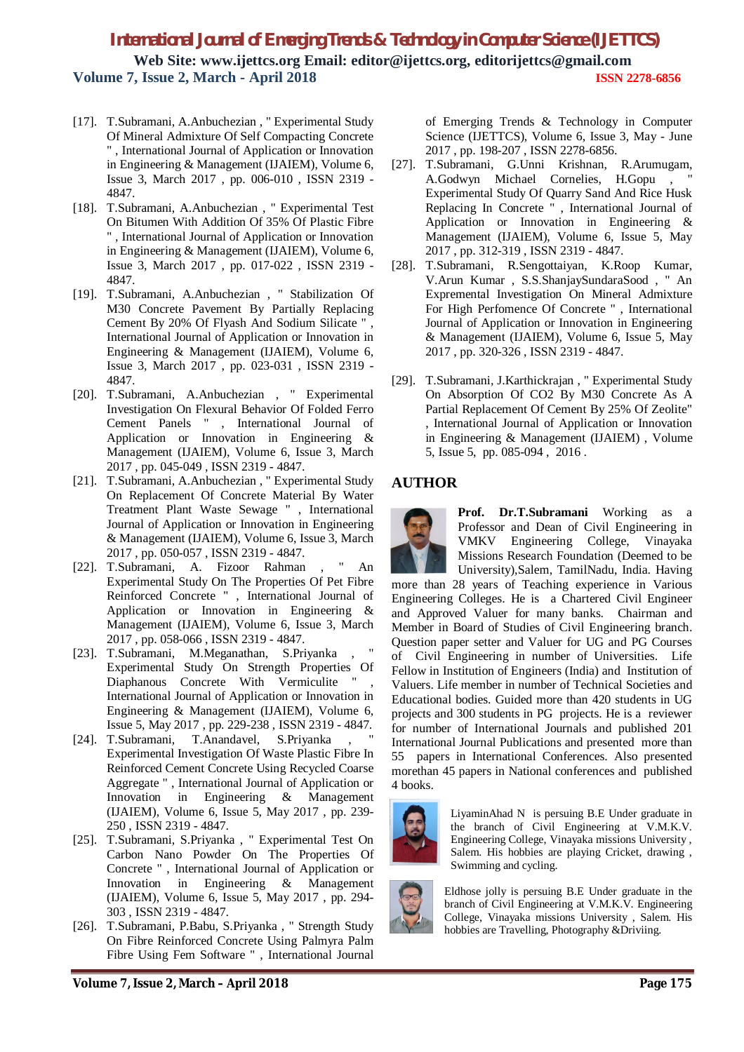- [17]. T.Subramani, A.Anbuchezian , " Experimental Study Of Mineral Admixture Of Self Compacting Concrete " , International Journal of Application or Innovation in Engineering & Management (IJAIEM), Volume 6, Issue 3, March 2017 , pp. 006-010 , ISSN 2319 - 4847.
- [18]. T.Subramani, A.Anbuchezian , " Experimental Test On Bitumen With Addition Of 35% Of Plastic Fibre " , International Journal of Application or Innovation in Engineering & Management (IJAIEM), Volume 6, Issue 3, March 2017 , pp. 017-022 , ISSN 2319 - 4847.
- [19]. T.Subramani, A.Anbuchezian , " Stabilization Of M30 Concrete Pavement By Partially Replacing Cement By 20% Of Flyash And Sodium Silicate " , International Journal of Application or Innovation in Engineering & Management (IJAIEM), Volume 6, Issue 3, March 2017 , pp. 023-031 , ISSN 2319 - 4847.
- [20]. T.Subramani, A.Anbuchezian , " Experimental Investigation On Flexural Behavior Of Folded Ferro Cement Panels " , International Journal of Application or Innovation in Engineering & Management (IJAIEM), Volume 6, Issue 3, March 2017 , pp. 045-049 , ISSN 2319 - 4847.
- [21]. T.Subramani, A.Anbuchezian , " Experimental Study On Replacement Of Concrete Material By Water Treatment Plant Waste Sewage " , International Journal of Application or Innovation in Engineering & Management (IJAIEM), Volume 6, Issue 3, March 2017 , pp. 050-057 , ISSN 2319 - 4847.
- [22]. T.Subramani, A. Fizoor Rahman , " An Experimental Study On The Properties Of Pet Fibre Reinforced Concrete " , International Journal of Application or Innovation in Engineering & Management (IJAIEM), Volume 6, Issue 3, March 2017 , pp. 058-066 , ISSN 2319 - 4847.
- [23]. T.Subramani, M.Meganathan, S.Priyanka Experimental Study On Strength Properties Of Diaphanous Concrete With Vermiculite International Journal of Application or Innovation in Engineering & Management (IJAIEM), Volume 6, Issue 5, May 2017 , pp. 229-238 , ISSN 2319 - 4847.
- [24]. T.Subramani, T.Anandavel, S.Priyanka Experimental Investigation Of Waste Plastic Fibre In Reinforced Cement Concrete Using Recycled Coarse Aggregate " , International Journal of Application or Innovation in Engineering & Management (IJAIEM), Volume 6, Issue 5, May 2017 , pp. 239- 250 , ISSN 2319 - 4847.
- [25]. T.Subramani, S.Priyanka , " Experimental Test On Carbon Nano Powder On The Properties Of Concrete " , International Journal of Application or Innovation in Engineering & Management (IJAIEM), Volume 6, Issue 5, May 2017 , pp. 294- 303 , ISSN 2319 - 4847.
- [26]. T.Subramani, P.Babu, S.Priyanka , " Strength Study On Fibre Reinforced Concrete Using Palmyra Palm Fibre Using Fem Software " , International Journal

of Emerging Trends & Technology in Computer Science (IJETTCS), Volume 6, Issue 3, May - June 2017 , pp. 198-207 , ISSN 2278-6856.

- [27]. T.Subramani, G.Unni Krishnan, R.Arumugam, A.Godwyn Michael Cornelies, H.Gopu, Experimental Study Of Quarry Sand And Rice Husk Replacing In Concrete " , International Journal of Application or Innovation in Engineering & Management (IJAIEM), Volume 6, Issue 5, May 2017 , pp. 312-319 , ISSN 2319 - 4847.
- [28]. T.Subramani, R.Sengottaiyan, K.Roop Kumar, V.Arun Kumar , S.S.ShanjaySundaraSood , " An Expremental Investigation On Mineral Admixture For High Perfomence Of Concrete " , International Journal of Application or Innovation in Engineering & Management (IJAIEM), Volume 6, Issue 5, May 2017 , pp. 320-326 , ISSN 2319 - 4847.
- [29]. T.Subramani, J.Karthickrajan , " Experimental Study On Absorption Of CO2 By M30 Concrete As A Partial Replacement Of Cement By 25% Of Zeolite" , International Journal of Application or Innovation in Engineering & Management (IJAIEM) , Volume 5, Issue 5, pp. 085-094 , 2016 .

# **AUTHOR**



**Prof. Dr.T.Subramani** Working as a Professor and Dean of Civil Engineering in VMKV Engineering College, Vinayaka Missions Research Foundation (Deemed to be University),Salem, TamilNadu, India. Having

more than 28 years of Teaching experience in Various Engineering Colleges. He is a Chartered Civil Engineer and Approved Valuer for many banks. Chairman and Member in Board of Studies of Civil Engineering branch. Question paper setter and Valuer for UG and PG Courses of Civil Engineering in number of Universities. Life Fellow in Institution of Engineers (India) and Institution of Valuers. Life member in number of Technical Societies and Educational bodies. Guided more than 420 students in UG projects and 300 students in PG projects. He is a reviewer for number of International Journals and published 201 International Journal Publications and presented more than 55 papers in International Conferences. Also presented morethan 45 papers in National conferences and published 4 books.



LiyaminAhad N is persuing B.E Under graduate in the branch of Civil Engineering at V.M.K.V. Engineering College, Vinayaka missions University , Salem. His hobbies are playing Cricket, drawing , Swimming and cycling.



Eldhose jolly is persuing B.E Under graduate in the branch of Civil Engineering at V.M.K.V. Engineering College, Vinayaka missions University , Salem. His hobbies are Travelling, Photography &Driviing.